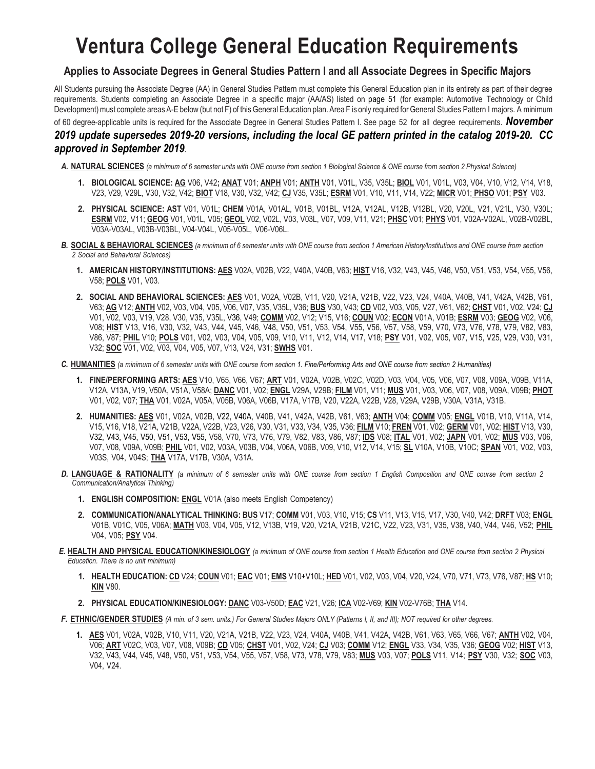## **Ventura College General Education Requirements**

## **Applies to Associate Degrees in General Studies Pattern I and all Associate Degrees in Specific Majors**

All Students pursuing the Associate Degree (AA) in General Studies Pattern must complete this General Education plan in its entirety as part of their degree requirements. Students completing an Associate Degree in a specific major (AA/AS) listed on page 51 (for example: Automotive Technology or Child Development) must complete areas A-E below (but not F) of this General Education plan. Area F is only required for General Studies Pattern I majors. A minimum of 60 degree-applicable units is required for the Associate Degree in General Studies Pattern I. See page 52 for all degree requirements. *November* 

## *2019 update supersedes 2019-20 versions, including the local GE pattern printed in the catalog 2019-20. CC approved in September 2019.*

- *A.* **NATURAL SCIENCES** *(a minimum of 6 semester units with ONE course from section 1 Biological Science & ONE course from section 2 Physical Science)*
	- **1. BIOLOGICAL SCIENCE: AG** V06, V42**; ANAT** V01; **ANPH** V01; **ANTH** V01, V01L, V35, V35L; **BIOL** V01, V01L, V03, V04, V10, V12, V14, V18, V23, V29, V29L, V30, V32, V42; **BIOT** V18, V30, V32, V42; **CJ** V35, V35L; **ESRM** V01, V10, V11, V14, V22; **MICR** V01; **PHSO** V01; **PSY** V03.
	- **2. PHYSICAL SCIENCE: AST** V01, V01L; **CHEM** V01A, V01AL, V01B, V01BL, V12A, V12AL, V12B, V12BL, V20, V20L, V21, V21L, V30, V30L; **ESRM** V02, V11; **GEOG** V01, V01L, V05; **GEOL** V02, V02L, V03, V03L, V07, V09, V11, V21; **PHSC** V01; **PHYS** V01, V02A-V02AL, V02B-V02BL, V03A-V03AL, V03B-V03BL, V04-V04L, V05-V05L, V06-V06L.
- *B.* **SOCIAL & BEHAVIORAL SCIENCES** *(a minimum of 6 semester units with ONE course from section 1 American History/Institutions and ONE course from section 2 Social and Behavioral Sciences)*
	- **1. AMERICAN HISTORY/INSTITUTIONS: AES** V02A, V02B, V22, V40A, V40B, V63; **HIST** V16, V32, V43, V45, V46, V50, V51, V53, V54, V55, V56, V58; **POLS** V01, V03.
	- **2. SOCIAL AND BEHAVIORAL SCIENCES: AES** V01, V02A, V02B, V11, V20, V21A, V21B, V22, V23, V24, V40A, V40B, V41, V42A, V42B, V61, V63; **AG** V12; **ANTH** V02, V03, V04, V05, V06, V07, V35, V35L, V36; **BUS** V30, V43; **CD** V02, V03, V05, V27, V61, V62; **CHST** V01, V02, V24; **CJ** V01, V02, V03, V19, V28, V30, V35, V35L, V36, V49; **COMM** V02, V12; V15, V16; **COUN** V02; **ECON** V01A, V01B; **ESRM** V03; **GEOG** V02, V06, V08; **HIST** V13, V16, V30, V32, V43, V44, V45, V46, V48, V50, V51, V53, V54, V55, V56, V57, V58, V59, V70, V73, V76, V78, V79, V82, V83, V86, V87; **PHIL** V10; **POLS** V01, V02, V03, V04, V05, V09, V10, V11, V12, V14, V17, V18; **PSY** V01, V02, V05, V07, V15, V25, V29, V30, V31, V32; **SOC** V01, V02, V03, V04, V05, V07, V13, V24, V31; **SWHS** V01.
- C. HUMANITIES (a minimum of 6 semester units with ONE course from section 1. Fine/Performing Arts and ONE course from section 2 Humanities)
	- **1. FINE/PERFORMING ARTS: AES** V10, V65, V66, V67; **ART** V01, V02A, V02B, V02C, V02D, V03, V04, V05, V06, V07, V08, V09A, V09B, V11A, V12A, V13A, V19, V50A, V51A, V58A; **DANC** V01, V02; **ENGL** V29A, V29B; **FILM** V01, V11; **MUS** V01, V03, V06, V07, V08, V09A, V09B; **PHOT** V01, V02, V07; **THA** V01, V02A, V05A, V05B, V06A, V06B, V17A, V17B, V20, V22A, V22B, V28, V29A, V29B, V30A, V31A, V31B.
	- **2. HUMANITIES: AES** V01, V02A, V02B, V22, V40A, V40B, V41, V42A, V42B, V61, V63; **ANTH** V04; **COMM** V05; **ENGL** V01B, V10, V11A, V14, V15, V16, V18, V21A, V21B, V22A, V22B, V23, V26, V30, V31, V33, V34, V35, V36; **FILM** V10; **FREN** V01, V02; **GERM** V01, V02; **HIST** V13, V30, V32, V43, V45, V50, V51, V53, V55, V58, V70, V73, V76, V79, V82, V83, V86, V87; **IDS** V08; **ITAL** V01, V02; **JAPN** V01, V02; **MUS** V03, V06, V07, V08, V09A, V09B; **PHIL** V01, V02, V03A, V03B, V04, V06A, V06B, V09, V10, V12, V14, V15; **SL** V10A, V10B, V10C; **SPAN** V01, V02, V03, V03S, V04, V04S; **THA** V17A, V17B, V30A, V31A.
- *D.* **LANGUAGE & RATIONALITY** *(a minimum of 6 semester units with ONE course from section 1 English Composition and ONE course from section 2 Communication/Analytical Thinking)*
	- **1. ENGLISH COMPOSITION: ENGL** V01A (also meets English Competency)
	- **2. COMMUNICATION/ANALYTICAL THINKING: BUS** V17; **COMM** V01, V03, V10, V15; **CS** V11, V13, V15, V17, V30, V40, V42; **DRFT** V03; **ENGL** V01B, V01C, V05, V06A; **MATH** V03, V04, V05, V12, V13B, V19, V20, V21A, V21B, V21C, V22, V23, V31, V35, V38, V40, V44, V46, V52; **PHIL** V04, V05; **PSY** V04.
- *E.* **HEALTH AND PHYSICAL EDUCATION/KINESIOLOGY** *(a minimum of ONE course from section 1 Health Education and ONE course from section 2 Physical Education. There is no unit minimum)*
	- **1. HEALTH EDUCATION: CD** V24; **COUN** V01; **EAC** V01; **EMS** V10+V10L; **HED** V01, V02, V03, V04, V20, V24, V70, V71, V73, V76, V87; **HS** V10; **KIN** V80.
	- **2. PHYSICAL EDUCATION/KINESIOLOGY: DANC** V03-V50D; **EAC** V21, V26; **ICA** V02-V69; **KIN** V02-V76B; **THA** V14.
- F. ETHNIC/GENDER STUDIES (A min. of 3 sem. units.) For General Studies Majors ONLY (Patterns I, II, and III); NOT required for other degrees.
	- **1. AES** V01, V02A, V02B, V10, V11, V20, V21A, V21B, V22, V23, V24, V40A, V40B, V41, V42A, V42B, V61, V63, V65, V66, V67; **ANTH** V02, V04, V06; **ART** V02C, V03, V07, V08, V09B; **CD** V05; **CHST** V01, V02, V24; **CJ** V03; **COMM** V12; **ENGL** V33, V34, V35, V36; **GEOG** V02; **HIST** V13, V32, V43, V44, V45, V48, V50, V51, V53, V54, V55, V57, V58, V73, V78, V79, V83; **MUS** V03, V07; **POLS** V11, V14; **PSY** V30, V32; **SOC** V03, V04, V24.